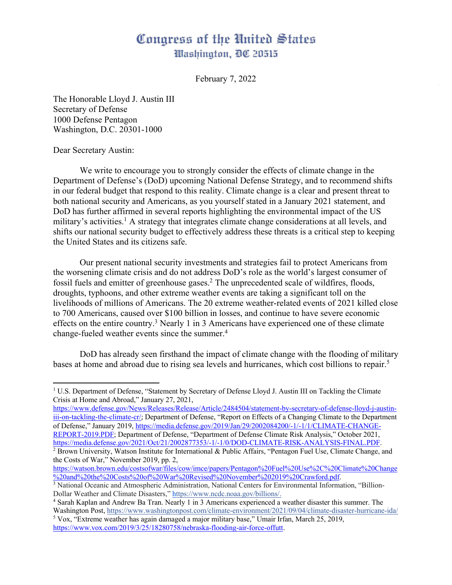## Congress of the United States Washington, DC 20515

February 7, 2022

The Honorable Lloyd J. Austin III Secretary of Defense 1000 Defense Pentagon Washington, D.C. 20301-1000

Dear Secretary Austin:

We write to encourage you to strongly consider the effects of climate change in the Department of Defense's (DoD) upcoming National Defense Strategy, and to recommend shifts in our federal budget that respond to this reality. Climate change is a clear and present threat to both national security and Americans, as you yourself stated in a January 2021 statement, and DoD has further affirmed in several reports highlighting the environmental impact of the US military's activities.<sup>1</sup> A strategy that integrates climate change considerations at all levels, and shifts our national security budget to effectively address these threats is a critical step to keeping the United States and its citizens safe.

Our present national security investments and strategies fail to protect Americans from the worsening climate crisis and do not address DoD's role as the world's largest consumer of fossil fuels and emitter of greenhouse gases. <sup>2</sup> The unprecedented scale of wildfires, floods, droughts, typhoons, and other extreme weather events are taking a significant toll on the livelihoods of millions of Americans. The 20 extreme weather-related events of 2021 killed close to 700 Americans, caused over \$100 billion in losses, and continue to have severe economic effects on the entire country.<sup>3</sup> Nearly 1 in 3 Americans have experienced one of these climate change-fueled weather events since the summer.4

DoD has already seen firsthand the impact of climate change with the flooding of military bases at home and abroad due to rising sea levels and hurricanes, which cost billions to repair.<sup>5</sup>

https://www.defense.gov/News/Releases/Release/Article/2484504/statement-by-secretary-of-defense-lloyd-j-austiniii-on-tackling-the-climate-cr/; Department of Defense, "Report on Effects of a Changing Climate to the Department of Defense," January 2019, https://media.defense.gov/2019/Jan/29/2002084200/-1/-1/1/CLIMATE-CHANGE-REPORT-2019.PDF; Department of Defense, "Department of Defense Climate Risk Analysis," October 2021, https://media.defense.gov/2021/Oct/21/2002877353/-1/-1/0/DOD-CLIMATE-RISK-ANALYSIS-FINAL.PDF.

https://watson.brown.edu/costsofwar/files/cow/imce/papers/Pentagon%20Fuel%20Use%2C%20Climate%20Change

<sup>&</sup>lt;sup>1</sup> U.S. Department of Defense, "Statement by Secretary of Defense Lloyd J. Austin III on Tackling the Climate Crisis at Home and Abroad," January 27, 2021,

 $\frac{1}{2}$  Brown University, Watson Institute for International & Public Affairs, "Pentagon Fuel Use, Climate Change, and the Costs of War," November 2019, pp. 2,

 $\frac{3}{3}$  National Oceanic and Atmospheric Administration, National Centers for Environmental Information, "Billion-Dollar Weather and Climate Disasters," https://www.ncdc.noaa.gov/billions/.

<sup>4</sup> Sarah Kaplan and Andrew Ba Tran. Nearly 1 in 3 Americans experienced a weather disaster this summer. The Washington Post, https://www.washingtonpost.com/climate-environment/2021/09/04/climate-disaster-hurricane-ida/

<sup>5</sup> Vox, "Extreme weather has again damaged a major military base," Umair Irfan, March 25, 2019, https://www.vox.com/2019/3/25/18280758/nebraska-flooding-air-force-offutt.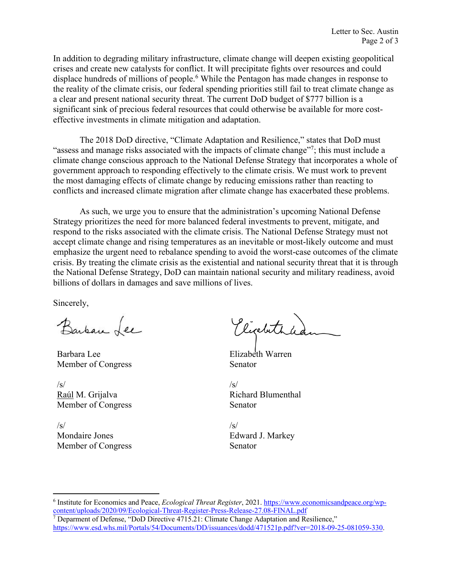In addition to degrading military infrastructure, climate change will deepen existing geopolitical crises and create new catalysts for conflict. It will precipitate fights over resources and could displace hundreds of millions of people.<sup>6</sup> While the Pentagon has made changes in response to the reality of the climate crisis, our federal spending priorities still fail to treat climate change as a clear and present national security threat. The current DoD budget of \$777 billion is a significant sink of precious federal resources that could otherwise be available for more costeffective investments in climate mitigation and adaptation.

The 2018 DoD directive, "Climate Adaptation and Resilience," states that DoD must "assess and manage risks associated with the impacts of climate change"<sup>7</sup>; this must include a climate change conscious approach to the National Defense Strategy that incorporates a whole of government approach to responding effectively to the climate crisis. We must work to prevent the most damaging effects of climate change by reducing emissions rather than reacting to conflicts and increased climate migration after climate change has exacerbated these problems.

As such, we urge you to ensure that the administration's upcoming National Defense Strategy prioritizes the need for more balanced federal investments to prevent, mitigate, and respond to the risks associated with the climate crisis. The National Defense Strategy must not accept climate change and rising temperatures as an inevitable or most-likely outcome and must emphasize the urgent need to rebalance spending to avoid the worst-case outcomes of the climate crisis. By treating the climate crisis as the existential and national security threat that it is through the National Defense Strategy, DoD can maintain national security and military readiness, avoid billions of dollars in damages and save millions of lives.

Sincerely,

Barban Lee

Barbara Lee Member of Congress

 $\sqrt{s}$ Raúl M. Grijalva Member of Congress

 $/s/$ Mondaire Jones Member of Congress

Picalethic

Elizabeth Warren Senator

 $\sqrt{s}$ Richard Blumenthal Senator

 $\sqrt{s}$ Edward J. Markey Senator

<sup>&</sup>lt;sup>6</sup> Institute for Economics and Peace, *Ecological Threat Register*, 2021. https://www.economicsandpeace.org/wpcontent/uploads/2020/09/Ecological-Threat-Register-Press-Release-27.08-FINAL.pdf

<sup>7</sup> Deparment of Defense, "DoD Directive 4715.21: Climate Change Adaptation and Resilience," https://www.esd.whs.mil/Portals/54/Documents/DD/issuances/dodd/471521p.pdf?ver=2018-09-25-081059-330.